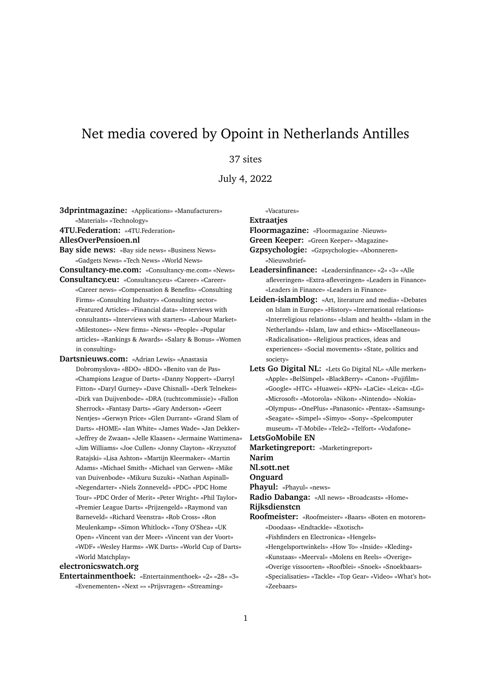# Net media covered by Opoint in Netherlands Antilles

## 37 sites

July 4, 2022

**3dprintmagazine:** «Applications» «Manufacturers» «Materials» «Technology» **4TU.Federation:** «4TU.Federation»

### **AllesOverPensioen.nl**

**Bay side news:** «Bay side news» «Business News» «Gadgets News» «Tech News» «World News»

**Consultancy-me.com:** «Consultancy-me.com» «News» **Consultancy.eu:** «Consultancy.eu» «Career» «Career»

- «Career news» «Compensation & Benefits» «Consulting Firms» «Consulting Industry» «Consulting sector» «Featured Articles» «Financial data» «Interviews with consultants» «Interviews with starters» «Labour Market» «Milestones» «New firms» «News» «People» «Popular articles» «Rankings & Awards» «Salary & Bonus» «Women in consulting»
- **Dartsnieuws.com:** «Adrian Lewis» «Anastasia Dobromyslova» «BDO» «BDO» «Benito van de Pas» «Champions League of Darts» «Danny Noppert» «Darryl Fitton» «Daryl Gurney» «Dave Chisnall» «Derk Telnekes» «Dirk van Duijvenbode» «DRA (tuchtcommissie)» «Fallon Sherrock» «Fantasy Darts» «Gary Anderson» «Geert Nentjes» «Gerwyn Price» «Glen Durrant» «Grand Slam of Darts» «HOME» «Ian White» «James Wade» «Jan Dekker» «Jeffrey de Zwaan» «Jelle Klaasen» «Jermaine Wattimena» «Jim Williams» «Joe Cullen» «Jonny Clayton» «Krzysztof Ratajski» «Lisa Ashton» «Martijn Kleermaker» «Martin Adams» «Michael Smith» «Michael van Gerwen» «Mike van Duivenbode» «Mikuru Suzuki» «Nathan Aspinall» «Negendarter» «Niels Zonneveld» «PDC» «PDC Home Tour» «PDC Order of Merit» «Peter Wright» «Phil Taylor» «Premier League Darts» «Prijzengeld» «Raymond van Barneveld» «Richard Veenstra» «Rob Cross» «Ron Meulenkamp» «Simon Whitlock» «Tony O'Shea» «UK Open» «Vincent van der Meer» «Vincent van der Voort» «WDF» «Wesley Harms» «WK Darts» «World Cup of Darts» «World Matchplay»

### **electronicswatch.org**

**Entertainmenthoek:** «Entertainmenthoek» «2» «28» «3» «Evenementen» «Next »» «Prijsvragen» «Streaming»

«Vacatures»

#### **Extraatjes**

**Floormagazine:** «Floormagazine -Nieuws»

**Green Keeper:** «Green Keeper» «Magazine»

**Gzpsychologie:** «Gzpsychologie» «Abonneren» «Nieuwsbrief»

- **Leadersinfinance:** «Leadersinfinance» «2» «3» «Alle afleveringen» «Extra-afleveringen» «Leaders in Finance» «Leaders in Finance» «Leaders in Finance»
- **Leiden-islamblog:** «Art, literature and media» «Debates on Islam in Europe» «History» «International relations» «Interreligious relations» «Islam and health» «Islam in the Netherlands» «Islam, law and ethics» «Miscellaneous» «Radicalisation» «Religious practices, ideas and experiences» «Social movements» «State, politics and society»
- **Lets Go Digital NL:** «Lets Go Digital NL» «Alle merken» «Apple» «BelSimpel» «BlackBerry» «Canon» «Fujifilm» «Google» «HTC» «Huawei» «KPN» «LaCie» «Leica» «LG» «Microsoft» «Motorola» «Nikon» «Nintendo» «Nokia» «Olympus» «OnePlus» «Panasonic» «Pentax» «Samsung» «Seagate» «Simpel» «Simyo» «Sony» «Spelcomputer museum» «T-Mobile» «Tele2» «Telfort» «Vodafone»

**LetsGoMobile EN Marketingreport:** «Marketingreport» **Narim**

- **Nl.sott.net**
- **Onguard**

**Phayul:** «Phayul» «news»

**Radio Dabanga:** «All news» «Broadcasts» «Home»

#### **Rijksdienstcn**

**Roofmeister:** «Roofmeister» «Baars» «Boten en motoren» «Doodaas» «Endtackle» «Exotisch»

«Fishfinders en Electronica» «Hengels»

- «Hengelsportwinkels» «How To» «Inside» «Kleding»
- «Kunstaas» «Meerval» «Molens en Reels» «Overige»
- «Overige vissoorten» «Roofblei» «Snoek» «Snoekbaars»
- «Specialisaties» «Tackle» «Top Gear» «Video» «What's hot» «Zeebaars»